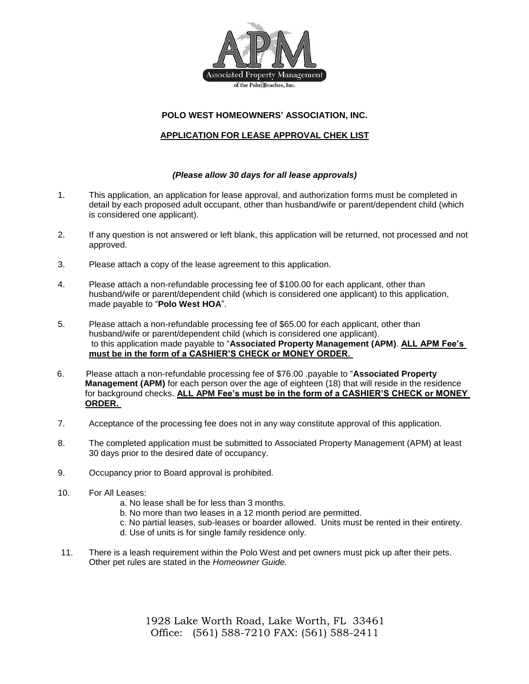

# **POLO WEST HOMEOWNERS' ASSOCIATION, INC.**

# **APPLICATION FOR LEASE APPROVAL CHEK LIST**

#### *(Please allow 30 days for all lease approvals)*

- 1. This application, an application for lease approval, and authorization forms must be completed in detail by each proposed adult occupant, other than husband/wife or parent/dependent child (which is considered one applicant).
- 2. If any question is not answered or left blank, this application will be returned, not processed and not approved.
- 3. Please attach a copy of the lease agreement to this application.
- 4. Please attach a non-refundable processing fee of \$100.00 for each applicant, other than husband/wife or parent/dependent child (which is considered one applicant) to this application, made payable to "**Polo West HOA**".
- 5. Please attach a non-refundable processing fee of \$65.00 for each applicant, other than husband/wife or parent/dependent child (which is considered one applicant). to this application made payable to "**Associated Property Management (APM)**. **ALL APM Fee's must be in the form of a CASHIER'S CHECK or MONEY ORDER.**
- 6. Please attach a non-refundable processing fee of \$76.00 .payable to "**Associated Property Management (APM)** for each person over the age of eighteen (18) that will reside in the residence for background checks. **ALL APM Fee's must be in the form of a CASHIER'S CHECK or MONEY ORDER.**
- 7. Acceptance of the processing fee does not in any way constitute approval of this application.
- 8. The completed application must be submitted to Associated Property Management (APM) at least 30 days prior to the desired date of occupancy.
- 9. Occupancy prior to Board approval is prohibited.
- 10. For All Leases:
	- a. No lease shall be for less than 3 months.
	- b. No more than two leases in a 12 month period are permitted.
	- c. No partial leases, sub-leases or boarder allowed. Units must be rented in their entirety.
	- d. Use of units is for single family residence only.
- 11. There is a leash requirement within the Polo West and pet owners must pick up after their pets. Other pet rules are stated in the *Homeowner Guide.*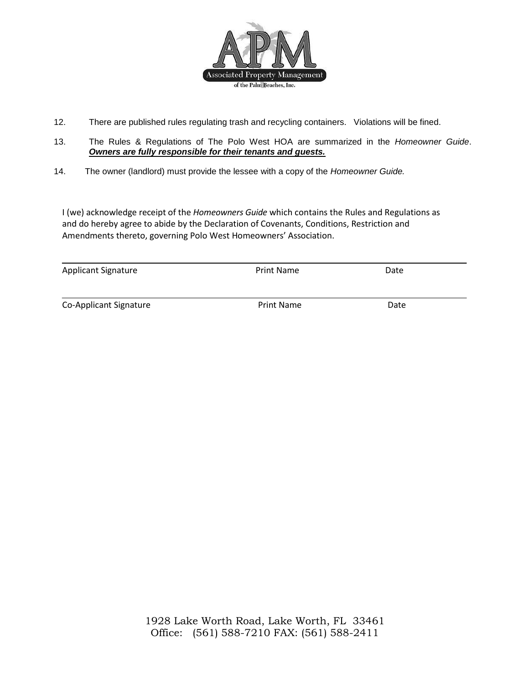

- 12. There are published rules regulating trash and recycling containers. Violations will be fined.
- 13. The Rules & Regulations of The Polo West HOA are summarized in the *Homeowner Guide*. *Owners are fully responsible for their tenants and guests.*
- 14. The owner (landlord) must provide the lessee with a copy of the *Homeowner Guide.*

I (we) acknowledge receipt of the *Homeowners Guide* which contains the Rules and Regulations as and do hereby agree to abide by the Declaration of Covenants, Conditions, Restriction and Amendments thereto, governing Polo West Homeowners' Association.

| <b>Applicant Signature</b> | <b>Print Name</b> | Date |  |
|----------------------------|-------------------|------|--|
|                            |                   |      |  |
| Co-Applicant Signature     | <b>Print Name</b> | Date |  |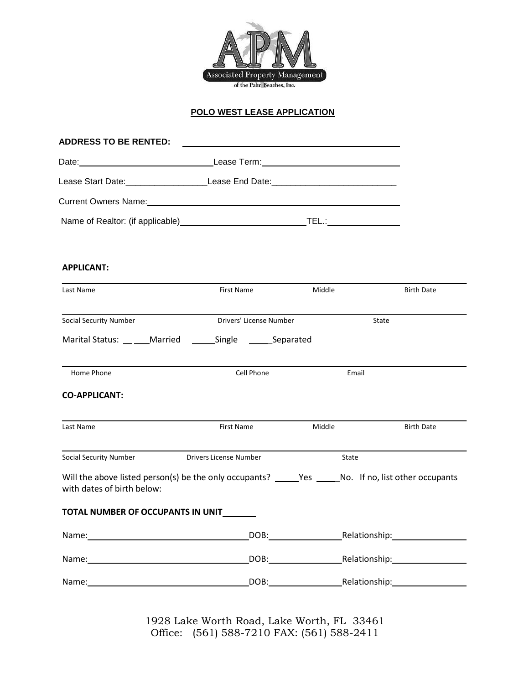

# **POLO WEST LEASE APPLICATION**

| <b>ADDRESS TO BE RENTED:</b>             |        |                                              |
|------------------------------------------|--------|----------------------------------------------|
|                                          |        |                                              |
| Lease Start Date: Nearly 1999            |        |                                              |
| Current Owners Name: 1990 1991 1992 1994 |        |                                              |
|                                          | 1 EL.: | the control of the control of the control of |

#### **APPLICANT:**

| Last Name                                                                                                                                                                                                                      | First Name                    | Middle<br><b>Birth Date</b> |                                  |
|--------------------------------------------------------------------------------------------------------------------------------------------------------------------------------------------------------------------------------|-------------------------------|-----------------------------|----------------------------------|
| <b>Social Security Number</b>                                                                                                                                                                                                  | Drivers' License Number       |                             | State                            |
| Marital Status: Married Single Separated                                                                                                                                                                                       |                               |                             |                                  |
| Home Phone                                                                                                                                                                                                                     | Cell Phone                    |                             | Email                            |
| <b>CO-APPLICANT:</b>                                                                                                                                                                                                           |                               |                             |                                  |
| Last Name                                                                                                                                                                                                                      | First Name                    | Middle                      | <b>Birth Date</b>                |
| Social Security Number                                                                                                                                                                                                         | <b>Drivers License Number</b> | State                       |                                  |
| Will the above listed person(s) be the only occupants? _______Yes _______No. If no, list other occupants<br>with dates of birth below:                                                                                         |                               |                             |                                  |
| TOTAL NUMBER OF OCCUPANTS IN UNIT                                                                                                                                                                                              |                               |                             |                                  |
| Name: when the contract of the contract of the contract of the contract of the contract of the contract of the                                                                                                                 |                               |                             | DOB: Relationship: Nelationship: |
| Name: Name and the state of the state of the state of the state of the state of the state of the state of the state of the state of the state of the state of the state of the state of the state of the state of the state of |                               |                             | DOB: Relationship: DOB:          |
| Name: Name and the state of the state of the state of the state of the state of the state of the state of the state of the state of the state of the state of the state of the state of the state of the state of the state of |                               |                             | DOB: Relationship:               |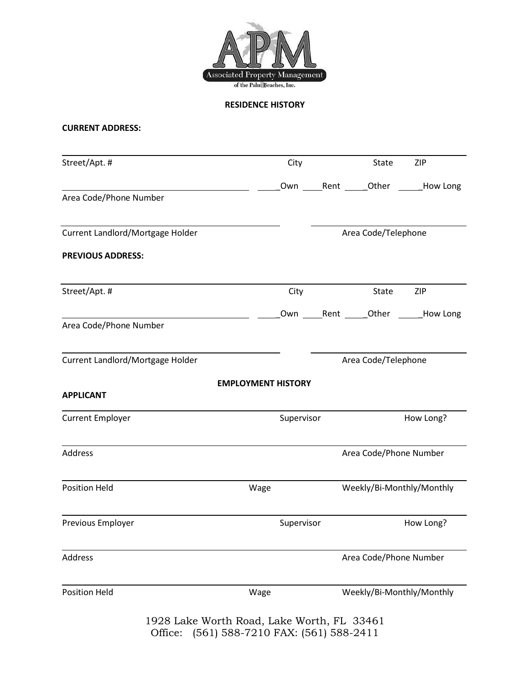

**RESIDENCE HISTORY**

# **CURRENT ADDRESS:**

| Area Code/Phone Number<br>Current Landlord/Mortgage Holder<br><b>PREVIOUS ADDRESS:</b> |                           |                     |                        | Own Rent _____Other ______How Long |  |  |
|----------------------------------------------------------------------------------------|---------------------------|---------------------|------------------------|------------------------------------|--|--|
|                                                                                        |                           |                     |                        |                                    |  |  |
|                                                                                        |                           |                     |                        |                                    |  |  |
|                                                                                        |                           |                     |                        | Area Code/Telephone                |  |  |
|                                                                                        |                           |                     |                        |                                    |  |  |
| Street/Apt. #                                                                          | City                      |                     | State                  | ZIP                                |  |  |
| Area Code/Phone Number                                                                 |                           |                     |                        | Own Rent Other How Long            |  |  |
| Current Landlord/Mortgage Holder                                                       |                           | Area Code/Telephone |                        |                                    |  |  |
|                                                                                        | <b>EMPLOYMENT HISTORY</b> |                     |                        |                                    |  |  |
| <b>APPLICANT</b>                                                                       |                           |                     |                        |                                    |  |  |
| <b>Current Employer</b>                                                                |                           | Supervisor          |                        | How Long?                          |  |  |
| Address                                                                                |                           |                     | Area Code/Phone Number |                                    |  |  |
| <b>Position Held</b>                                                                   | Wage                      |                     |                        | Weekly/Bi-Monthly/Monthly          |  |  |
| Previous Employer                                                                      |                           | Supervisor          |                        | How Long?                          |  |  |
| Address                                                                                |                           |                     | Area Code/Phone Number |                                    |  |  |
|                                                                                        | Wage                      |                     |                        | Weekly/Bi-Monthly/Monthly          |  |  |
|                                                                                        |                           |                     |                        |                                    |  |  |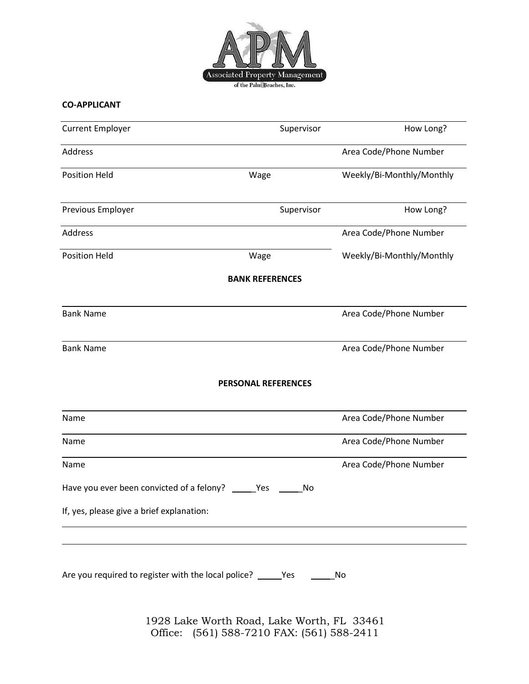

# **CO-APPLICANT**

| <b>Current Employer</b>                                                     | Supervisor                 | How Long?                 |
|-----------------------------------------------------------------------------|----------------------------|---------------------------|
| Address                                                                     |                            | Area Code/Phone Number    |
| <b>Position Held</b>                                                        | Wage                       | Weekly/Bi-Monthly/Monthly |
| Previous Employer                                                           | Supervisor                 | How Long?                 |
| Address                                                                     |                            | Area Code/Phone Number    |
| <b>Position Held</b>                                                        | Wage                       | Weekly/Bi-Monthly/Monthly |
|                                                                             | <b>BANK REFERENCES</b>     |                           |
| <b>Bank Name</b>                                                            |                            | Area Code/Phone Number    |
| <b>Bank Name</b>                                                            |                            | Area Code/Phone Number    |
|                                                                             | <b>PERSONAL REFERENCES</b> |                           |
| Name                                                                        |                            | Area Code/Phone Number    |
| Name                                                                        |                            | Area Code/Phone Number    |
| Name                                                                        |                            | Area Code/Phone Number    |
| Have you ever been convicted of a felony?                                   | No<br>Yes                  |                           |
| If, yes, please give a brief explanation:                                   |                            |                           |
|                                                                             |                            |                           |
|                                                                             |                            |                           |
| Are you required to register with the local police? ______Yes ___________No |                            |                           |
|                                                                             |                            |                           |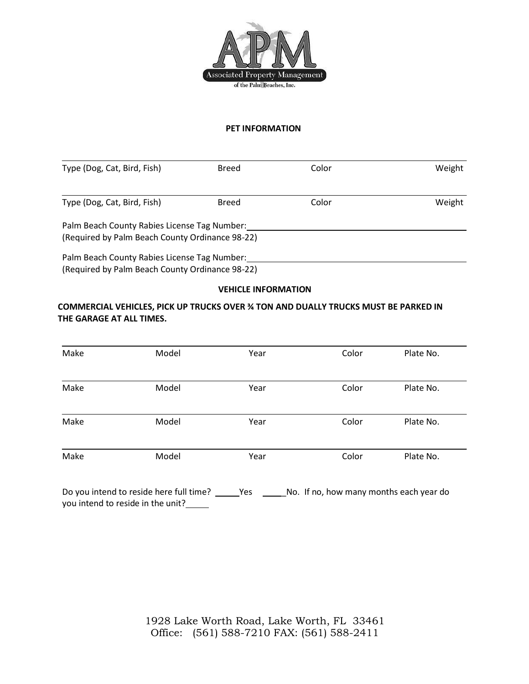

#### **PET INFORMATION**

| Type (Dog, Cat, Bird, Fish)                                                                     | Breed        | Color | Weight |
|-------------------------------------------------------------------------------------------------|--------------|-------|--------|
|                                                                                                 |              |       |        |
| Type (Dog, Cat, Bird, Fish)                                                                     | <b>Breed</b> | Color | Weight |
| Palm Beach County Rabies License Tag Number:<br>(Required by Palm Beach County Ordinance 98-22) |              |       |        |
| Palm Beach County Rabies License Tag Number:<br>(Required by Palm Beach County Ordinance 98-22) |              |       |        |

## **VEHICLE INFORMATION**

# **COMMERCIAL VEHICLES, PICK UP TRUCKS OVER ¾ TON AND DUALLY TRUCKS MUST BE PARKED IN THE GARAGE AT ALL TIMES.**

| Make | Model | Year | Color | Plate No. |
|------|-------|------|-------|-----------|
| Make | Model | Year | Color | Plate No. |
| Make | Model | Year | Color | Plate No. |
| Make | Model | Year | Color | Plate No. |

Do you intend to reside here full time? \_\_\_\_\_Yes \_\_\_\_\_\_No. If no, how many months each year do you intend to reside in the unit?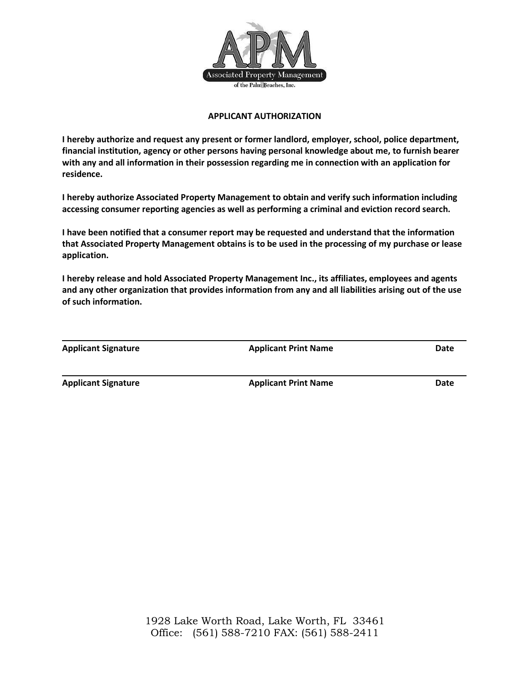

## **APPLICANT AUTHORIZATION**

**I hereby authorize and request any present or former landlord, employer, school, police department, financial institution, agency or other persons having personal knowledge about me, to furnish bearer with any and all information in their possession regarding me in connection with an application for residence.**

**I hereby authorize Associated Property Management to obtain and verify such information including accessing consumer reporting agencies as well as performing a criminal and eviction record search.**

**I have been notified that a consumer report may be requested and understand that the information that Associated Property Management obtains is to be used in the processing of my purchase or lease application.**

**I hereby release and hold Associated Property Management Inc., its affiliates, employees and agents and any other organization that provides information from any and all liabilities arising out of the use of such information.**

| <b>Applicant Signature</b> | <b>Applicant Print Name</b><br>Date |  |  |
|----------------------------|-------------------------------------|--|--|
|                            |                                     |  |  |

**Applicant Signature Applicant Print Name Date**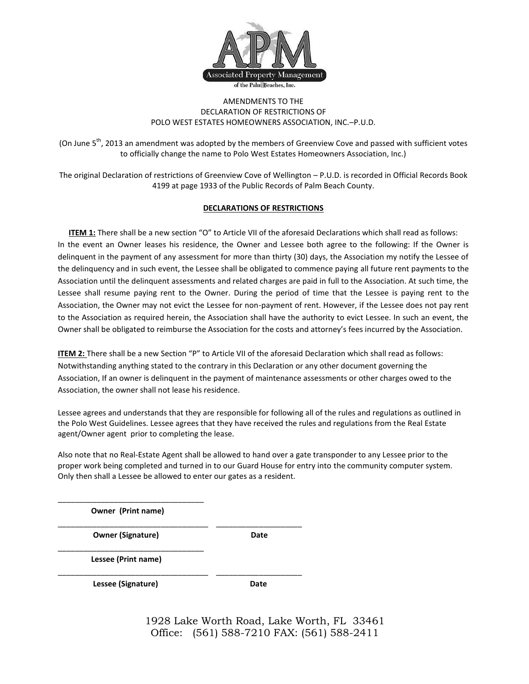

#### AMENDMENTS TO THE DECLARATION OF RESTRICTIONS OF POLO WEST ESTATES HOMEOWNERS ASSOCIATION, INC.–P.U.D.

(On June 5<sup>th</sup>, 2013 an amendment was adopted by the members of Greenview Cove and passed with sufficient votes to officially change the name to Polo West Estates Homeowners Association, Inc.)

The original Declaration of restrictions of Greenview Cove of Wellington – P.U.D. is recorded in Official Records Book 4199 at page 1933 of the Public Records of Palm Beach County.

#### **DECLARATIONS OF RESTRICTIONS**

**ITEM 1:** There shall be a new section "O" to Article VII of the aforesaid Declarations which shall read as follows: In the event an Owner leases his residence, the Owner and Lessee both agree to the following: If the Owner is delinquent in the payment of any assessment for more than thirty (30) days, the Association my notify the Lessee of the delinquency and in such event, the Lessee shall be obligated to commence paying all future rent payments to the Association until the delinquent assessments and related charges are paid in full to the Association. At such time, the Lessee shall resume paying rent to the Owner. During the period of time that the Lessee is paying rent to the Association, the Owner may not evict the Lessee for non-payment of rent. However, if the Lessee does not pay rent to the Association as required herein, the Association shall have the authority to evict Lessee. In such an event, the Owner shall be obligated to reimburse the Association for the costs and attorney's fees incurred by the Association.

**ITEM 2:** There shall be a new Section "P" to Article VII of the aforesaid Declaration which shall read as follows: Notwithstanding anything stated to the contrary in this Declaration or any other document governing the Association, If an owner is delinquent in the payment of maintenance assessments or other charges owed to the Association, the owner shall not lease his residence.

Lessee agrees and understands that they are responsible for following all of the rules and regulations as outlined in the Polo West Guidelines. Lessee agrees that they have received the rules and regulations from the Real Estate agent/Owner agent prior to completing the lease.

Also note that no Real-Estate Agent shall be allowed to hand over a gate transponder to any Lessee prior to the proper work being completed and turned in to our Guard House for entry into the community computer system. Only then shall a Lessee be allowed to enter our gates as a resident.

\_\_\_\_\_\_\_\_\_\_\_\_\_\_\_\_\_\_\_\_\_\_\_\_\_\_\_\_\_\_\_\_\_\_ **Owner (Print name)**

\_\_\_\_\_\_\_\_\_\_\_\_\_\_\_\_\_\_\_\_\_\_\_\_\_\_\_\_\_\_\_\_\_\_\_ \_\_\_\_\_\_\_\_\_\_\_\_\_\_\_\_\_\_\_\_

**Owner (Signature) Date COVER 1998** 

\_\_\_\_\_\_\_\_\_\_\_\_\_\_\_\_\_\_\_\_\_\_\_\_\_\_\_\_\_\_\_\_\_\_  **Lessee (Print name)**

\_\_\_\_\_\_\_\_\_\_\_\_\_\_\_\_\_\_\_\_\_\_\_\_\_\_\_\_\_\_\_\_\_\_\_ \_\_\_\_\_\_\_\_\_\_\_\_\_\_\_\_\_\_\_\_ Lessee (Signature) **Date Date**